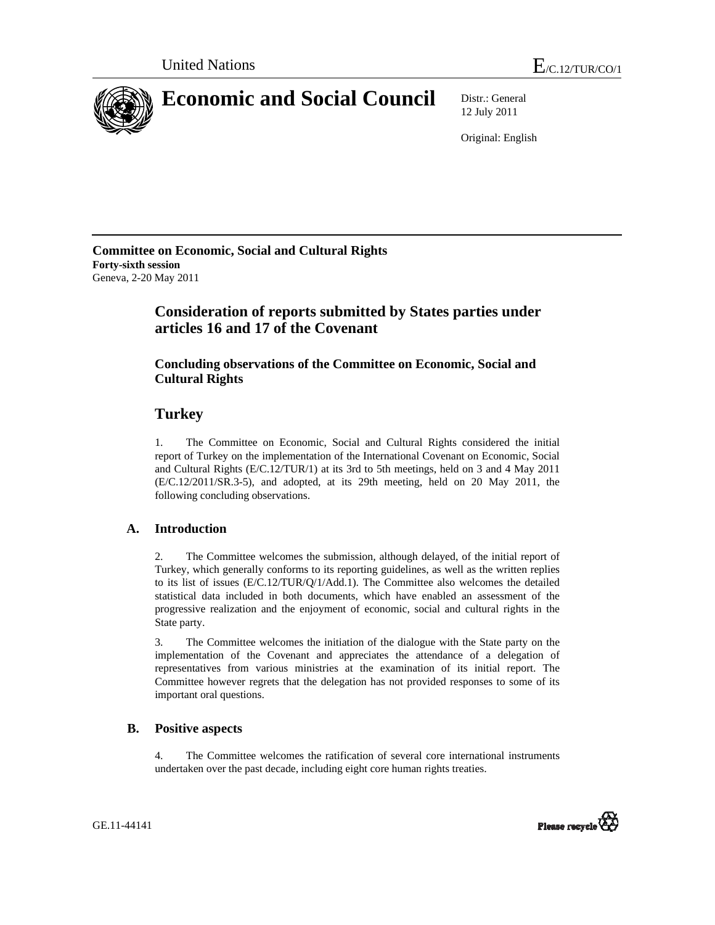

12 July 2011

Original: English

**Committee on Economic, Social and Cultural Rights Forty-sixth session**  Geneva, 2-20 May 2011

# **Consideration of reports submitted by States parties under articles 16 and 17 of the Covenant**

## **Concluding observations of the Committee on Economic, Social and Cultural Rights**

## **Turkey**

1. The Committee on Economic, Social and Cultural Rights considered the initial report of Turkey on the implementation of the International Covenant on Economic, Social and Cultural Rights (E/C.12/TUR/1) at its 3rd to 5th meetings, held on 3 and 4 May 2011 (E/C.12/2011/SR.3-5), and adopted, at its 29th meeting, held on 20 May 2011, the following concluding observations.

### **A. Introduction**

2. The Committee welcomes the submission, although delayed, of the initial report of Turkey, which generally conforms to its reporting guidelines, as well as the written replies to its list of issues (E/C.12/TUR/Q/1/Add.1). The Committee also welcomes the detailed statistical data included in both documents, which have enabled an assessment of the progressive realization and the enjoyment of economic, social and cultural rights in the State party.

3. The Committee welcomes the initiation of the dialogue with the State party on the implementation of the Covenant and appreciates the attendance of a delegation of representatives from various ministries at the examination of its initial report. The Committee however regrets that the delegation has not provided responses to some of its important oral questions.

### **B. Positive aspects**

4. The Committee welcomes the ratification of several core international instruments undertaken over the past decade, including eight core human rights treaties.

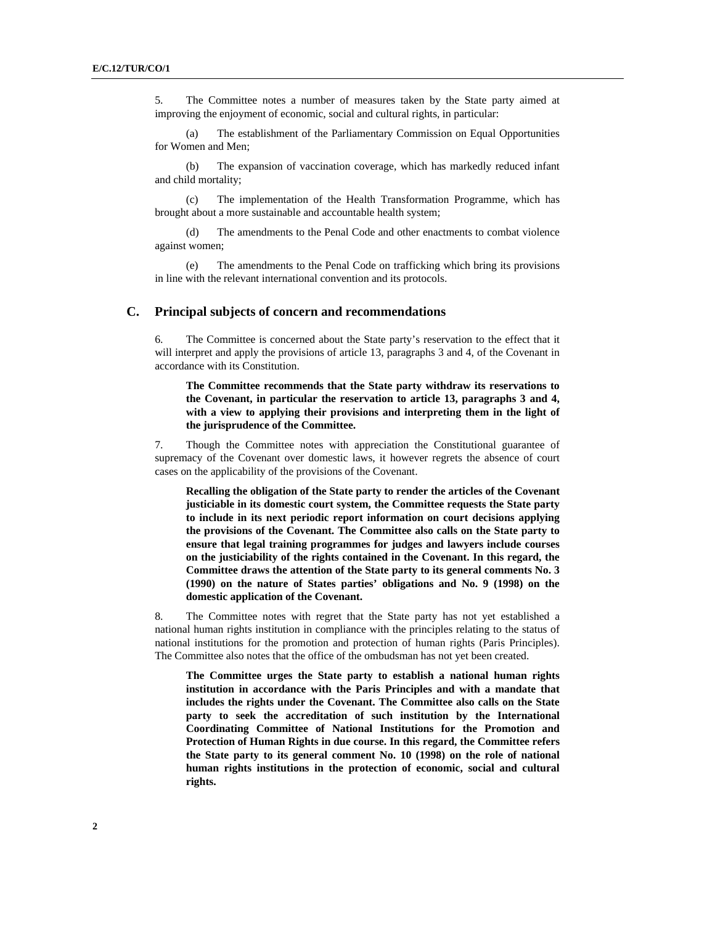5. The Committee notes a number of measures taken by the State party aimed at improving the enjoyment of economic, social and cultural rights, in particular:

(a) The establishment of the Parliamentary Commission on Equal Opportunities for Women and Men;

(b) The expansion of vaccination coverage, which has markedly reduced infant and child mortality;

(c) The implementation of the Health Transformation Programme, which has brought about a more sustainable and accountable health system;

(d) The amendments to the Penal Code and other enactments to combat violence against women;

(e) The amendments to the Penal Code on trafficking which bring its provisions in line with the relevant international convention and its protocols.

#### **C. Principal subjects of concern and recommendations**

6. The Committee is concerned about the State party's reservation to the effect that it will interpret and apply the provisions of article 13, paragraphs 3 and 4, of the Covenant in accordance with its Constitution.

**The Committee recommends that the State party withdraw its reservations to the Covenant, in particular the reservation to article 13, paragraphs 3 and 4, with a view to applying their provisions and interpreting them in the light of the jurisprudence of the Committee.** 

7. Though the Committee notes with appreciation the Constitutional guarantee of supremacy of the Covenant over domestic laws, it however regrets the absence of court cases on the applicability of the provisions of the Covenant.

**Recalling the obligation of the State party to render the articles of the Covenant justiciable in its domestic court system, the Committee requests the State party to include in its next periodic report information on court decisions applying the provisions of the Covenant. The Committee also calls on the State party to ensure that legal training programmes for judges and lawyers include courses on the justiciability of the rights contained in the Covenant. In this regard, the Committee draws the attention of the State party to its general comments No. 3 (1990) on the nature of States parties' obligations and No. 9 (1998) on the domestic application of the Covenant.** 

8. The Committee notes with regret that the State party has not yet established a national human rights institution in compliance with the principles relating to the status of national institutions for the promotion and protection of human rights (Paris Principles). The Committee also notes that the office of the ombudsman has not yet been created.

**The Committee urges the State party to establish a national human rights institution in accordance with the Paris Principles and with a mandate that includes the rights under the Covenant. The Committee also calls on the State party to seek the accreditation of such institution by the International Coordinating Committee of National Institutions for the Promotion and Protection of Human Rights in due course. In this regard, the Committee refers the State party to its general comment No. 10 (1998) on the role of national human rights institutions in the protection of economic, social and cultural rights.**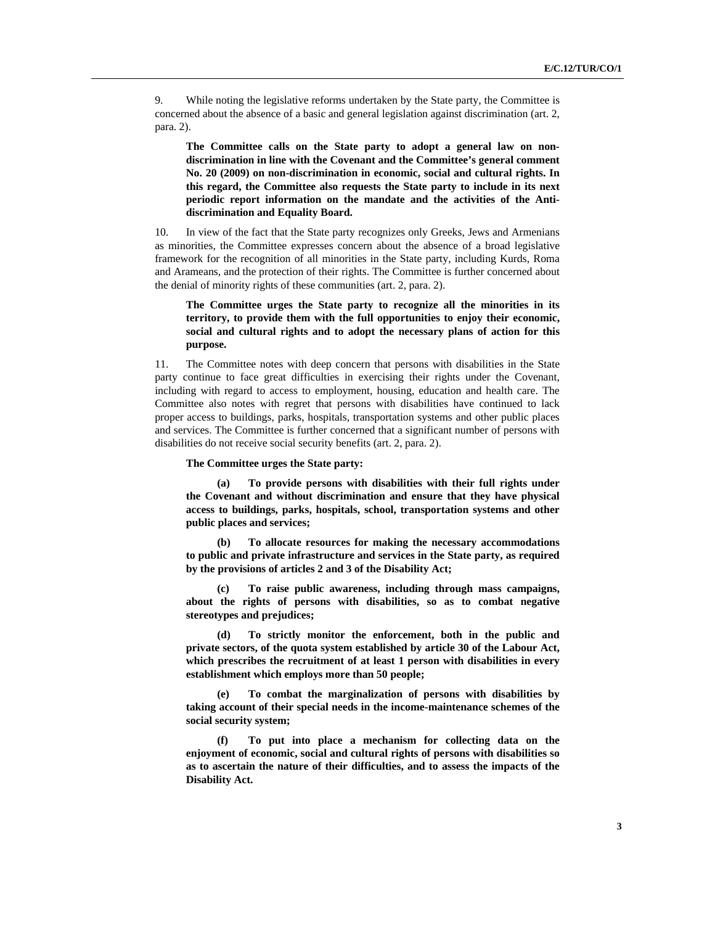9. While noting the legislative reforms undertaken by the State party, the Committee is concerned about the absence of a basic and general legislation against discrimination (art. 2, para. 2).

**The Committee calls on the State party to adopt a general law on nondiscrimination in line with the Covenant and the Committee's general comment No. 20 (2009) on non-discrimination in economic, social and cultural rights. In this regard, the Committee also requests the State party to include in its next periodic report information on the mandate and the activities of the Antidiscrimination and Equality Board.** 

10. In view of the fact that the State party recognizes only Greeks, Jews and Armenians as minorities, the Committee expresses concern about the absence of a broad legislative framework for the recognition of all minorities in the State party, including Kurds, Roma and Arameans, and the protection of their rights. The Committee is further concerned about the denial of minority rights of these communities (art. 2, para. 2).

#### **The Committee urges the State party to recognize all the minorities in its territory, to provide them with the full opportunities to enjoy their economic, social and cultural rights and to adopt the necessary plans of action for this purpose.**

11. The Committee notes with deep concern that persons with disabilities in the State party continue to face great difficulties in exercising their rights under the Covenant, including with regard to access to employment, housing, education and health care. The Committee also notes with regret that persons with disabilities have continued to lack proper access to buildings, parks, hospitals, transportation systems and other public places and services. The Committee is further concerned that a significant number of persons with disabilities do not receive social security benefits (art. 2, para. 2).

**The Committee urges the State party:** 

**(a) To provide persons with disabilities with their full rights under the Covenant and without discrimination and ensure that they have physical access to buildings, parks, hospitals, school, transportation systems and other public places and services;** 

**(b) To allocate resources for making the necessary accommodations to public and private infrastructure and services in the State party, as required by the provisions of articles 2 and 3 of the Disability Act;** 

**(c) To raise public awareness, including through mass campaigns, about the rights of persons with disabilities, so as to combat negative stereotypes and prejudices;** 

**(d) To strictly monitor the enforcement, both in the public and private sectors, of the quota system established by article 30 of the Labour Act, which prescribes the recruitment of at least 1 person with disabilities in every establishment which employs more than 50 people;** 

**(e) To combat the marginalization of persons with disabilities by taking account of their special needs in the income-maintenance schemes of the social security system;** 

**(f) To put into place a mechanism for collecting data on the enjoyment of economic, social and cultural rights of persons with disabilities so as to ascertain the nature of their difficulties, and to assess the impacts of the Disability Act.**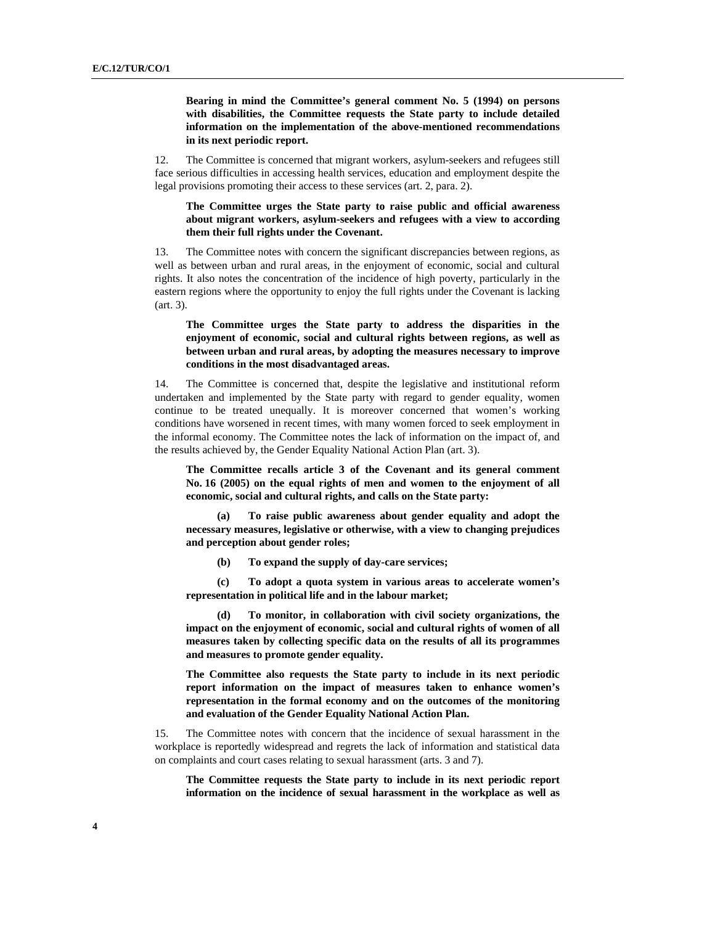**Bearing in mind the Committee's general comment No. 5 (1994) on persons with disabilities, the Committee requests the State party to include detailed information on the implementation of the above-mentioned recommendations in its next periodic report.**

12. The Committee is concerned that migrant workers, asylum-seekers and refugees still face serious difficulties in accessing health services, education and employment despite the legal provisions promoting their access to these services (art. 2, para. 2).

**The Committee urges the State party to raise public and official awareness about migrant workers, asylum-seekers and refugees with a view to according them their full rights under the Covenant.** 

13. The Committee notes with concern the significant discrepancies between regions, as well as between urban and rural areas, in the enjoyment of economic, social and cultural rights. It also notes the concentration of the incidence of high poverty, particularly in the eastern regions where the opportunity to enjoy the full rights under the Covenant is lacking (art. 3).

**The Committee urges the State party to address the disparities in the enjoyment of economic, social and cultural rights between regions, as well as between urban and rural areas, by adopting the measures necessary to improve conditions in the most disadvantaged areas.** 

14. The Committee is concerned that, despite the legislative and institutional reform undertaken and implemented by the State party with regard to gender equality, women continue to be treated unequally. It is moreover concerned that women's working conditions have worsened in recent times, with many women forced to seek employment in the informal economy. The Committee notes the lack of information on the impact of, and the results achieved by, the Gender Equality National Action Plan (art. 3).

**The Committee recalls article 3 of the Covenant and its general comment No. 16 (2005) on the equal rights of men and women to the enjoyment of all economic, social and cultural rights, and calls on the State party:** 

**(a) To raise public awareness about gender equality and adopt the necessary measures, legislative or otherwise, with a view to changing prejudices and perception about gender roles;** 

**(b) To expand the supply of day-care services;** 

**(c) To adopt a quota system in various areas to accelerate women's representation in political life and in the labour market;** 

**(d) To monitor, in collaboration with civil society organizations, the impact on the enjoyment of economic, social and cultural rights of women of all measures taken by collecting specific data on the results of all its programmes and measures to promote gender equality.** 

**The Committee also requests the State party to include in its next periodic report information on the impact of measures taken to enhance women's representation in the formal economy and on the outcomes of the monitoring and evaluation of the Gender Equality National Action Plan.** 

15. The Committee notes with concern that the incidence of sexual harassment in the workplace is reportedly widespread and regrets the lack of information and statistical data on complaints and court cases relating to sexual harassment (arts. 3 and 7).

**The Committee requests the State party to include in its next periodic report information on the incidence of sexual harassment in the workplace as well as**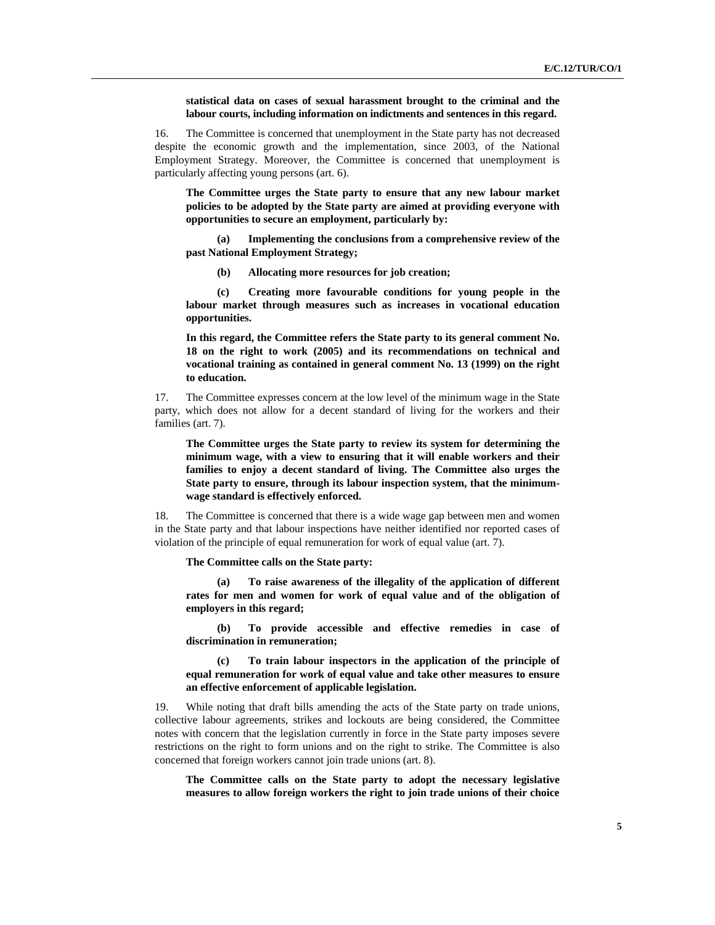**statistical data on cases of sexual harassment brought to the criminal and the labour courts, including information on indictments and sentences in this regard.** 

16. The Committee is concerned that unemployment in the State party has not decreased despite the economic growth and the implementation, since 2003, of the National Employment Strategy. Moreover, the Committee is concerned that unemployment is particularly affecting young persons (art. 6).

**The Committee urges the State party to ensure that any new labour market policies to be adopted by the State party are aimed at providing everyone with opportunities to secure an employment, particularly by:** 

**(a) Implementing the conclusions from a comprehensive review of the past National Employment Strategy;** 

**(b) Allocating more resources for job creation;** 

**(c) Creating more favourable conditions for young people in the labour market through measures such as increases in vocational education opportunities.** 

**In this regard, the Committee refers the State party to its general comment No. 18 on the right to work (2005) and its recommendations on technical and vocational training as contained in general comment No. 13 (1999) on the right to education.** 

17. The Committee expresses concern at the low level of the minimum wage in the State party, which does not allow for a decent standard of living for the workers and their families (art. 7).

**The Committee urges the State party to review its system for determining the minimum wage, with a view to ensuring that it will enable workers and their families to enjoy a decent standard of living. The Committee also urges the State party to ensure, through its labour inspection system, that the minimumwage standard is effectively enforced.** 

18. The Committee is concerned that there is a wide wage gap between men and women in the State party and that labour inspections have neither identified nor reported cases of violation of the principle of equal remuneration for work of equal value (art. 7).

**The Committee calls on the State party:** 

**(a) To raise awareness of the illegality of the application of different rates for men and women for work of equal value and of the obligation of employers in this regard;** 

**(b) To provide accessible and effective remedies in case of discrimination in remuneration;** 

**(c) To train labour inspectors in the application of the principle of equal remuneration for work of equal value and take other measures to ensure an effective enforcement of applicable legislation.**

19. While noting that draft bills amending the acts of the State party on trade unions, collective labour agreements, strikes and lockouts are being considered, the Committee notes with concern that the legislation currently in force in the State party imposes severe restrictions on the right to form unions and on the right to strike. The Committee is also concerned that foreign workers cannot join trade unions (art. 8).

**The Committee calls on the State party to adopt the necessary legislative measures to allow foreign workers the right to join trade unions of their choice**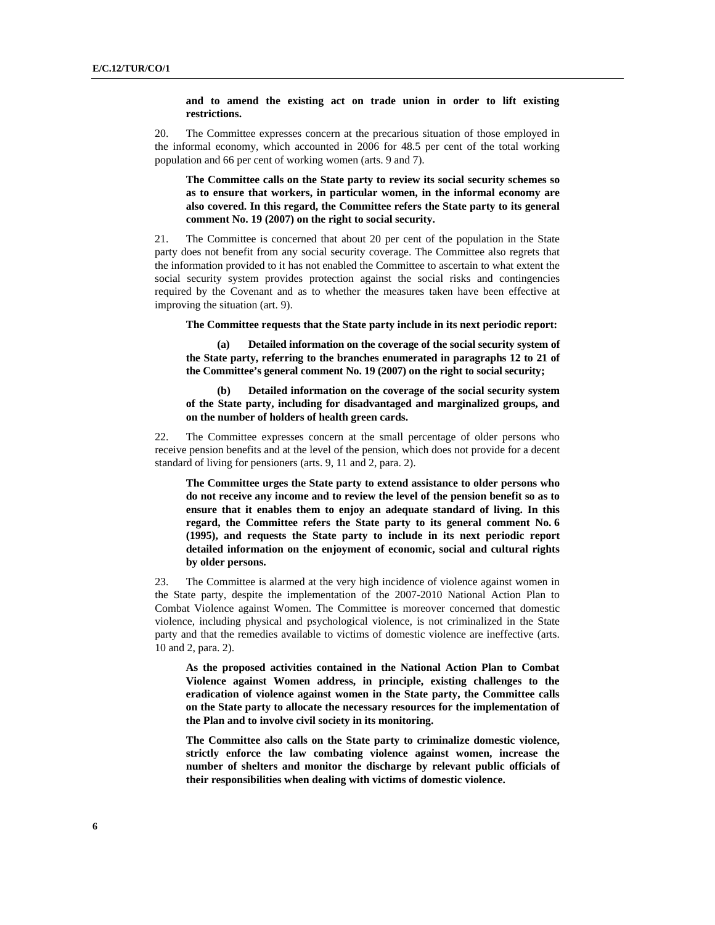#### **and to amend the existing act on trade union in order to lift existing restrictions.**

20. The Committee expresses concern at the precarious situation of those employed in the informal economy, which accounted in 2006 for 48.5 per cent of the total working population and 66 per cent of working women (arts. 9 and 7).

**The Committee calls on the State party to review its social security schemes so as to ensure that workers, in particular women, in the informal economy are also covered. In this regard, the Committee refers the State party to its general comment No. 19 (2007) on the right to social security.** 

21. The Committee is concerned that about 20 per cent of the population in the State party does not benefit from any social security coverage. The Committee also regrets that the information provided to it has not enabled the Committee to ascertain to what extent the social security system provides protection against the social risks and contingencies required by the Covenant and as to whether the measures taken have been effective at improving the situation (art. 9).

**The Committee requests that the State party include in its next periodic report:** 

**(a) Detailed information on the coverage of the social security system of the State party, referring to the branches enumerated in paragraphs 12 to 21 of the Committee's general comment No. 19 (2007) on the right to social security;** 

**(b) Detailed information on the coverage of the social security system of the State party, including for disadvantaged and marginalized groups, and on the number of holders of health green cards.** 

22. The Committee expresses concern at the small percentage of older persons who receive pension benefits and at the level of the pension, which does not provide for a decent standard of living for pensioners (arts. 9, 11 and 2, para. 2).

**The Committee urges the State party to extend assistance to older persons who do not receive any income and to review the level of the pension benefit so as to ensure that it enables them to enjoy an adequate standard of living. In this regard, the Committee refers the State party to its general comment No. 6 (1995), and requests the State party to include in its next periodic report detailed information on the enjoyment of economic, social and cultural rights by older persons.** 

23. The Committee is alarmed at the very high incidence of violence against women in the State party, despite the implementation of the 2007-2010 National Action Plan to Combat Violence against Women. The Committee is moreover concerned that domestic violence, including physical and psychological violence, is not criminalized in the State party and that the remedies available to victims of domestic violence are ineffective (arts. 10 and 2, para. 2).

**As the proposed activities contained in the National Action Plan to Combat Violence against Women address, in principle, existing challenges to the eradication of violence against women in the State party, the Committee calls on the State party to allocate the necessary resources for the implementation of the Plan and to involve civil society in its monitoring.** 

**The Committee also calls on the State party to criminalize domestic violence, strictly enforce the law combating violence against women, increase the number of shelters and monitor the discharge by relevant public officials of their responsibilities when dealing with victims of domestic violence.**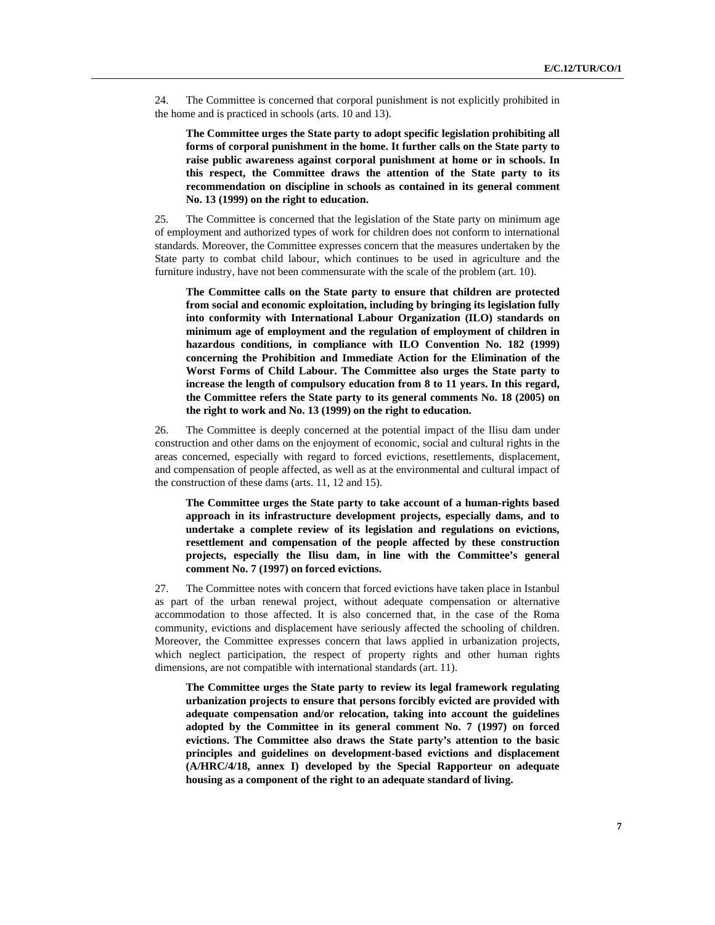24. The Committee is concerned that corporal punishment is not explicitly prohibited in the home and is practiced in schools (arts. 10 and 13).

**The Committee urges the State party to adopt specific legislation prohibiting all forms of corporal punishment in the home. It further calls on the State party to raise public awareness against corporal punishment at home or in schools. In this respect, the Committee draws the attention of the State party to its recommendation on discipline in schools as contained in its general comment No. 13 (1999) on the right to education.** 

25. The Committee is concerned that the legislation of the State party on minimum age of employment and authorized types of work for children does not conform to international standards. Moreover, the Committee expresses concern that the measures undertaken by the State party to combat child labour, which continues to be used in agriculture and the furniture industry, have not been commensurate with the scale of the problem (art. 10).

**The Committee calls on the State party to ensure that children are protected from social and economic exploitation, including by bringing its legislation fully into conformity with International Labour Organization (ILO) standards on minimum age of employment and the regulation of employment of children in hazardous conditions, in compliance with ILO Convention No. 182 (1999) concerning the Prohibition and Immediate Action for the Elimination of the Worst Forms of Child Labour. The Committee also urges the State party to increase the length of compulsory education from 8 to 11 years. In this regard, the Committee refers the State party to its general comments No. 18 (2005) on the right to work and No. 13 (1999) on the right to education.** 

26. The Committee is deeply concerned at the potential impact of the Ilisu dam under construction and other dams on the enjoyment of economic, social and cultural rights in the areas concerned, especially with regard to forced evictions, resettlements, displacement, and compensation of people affected, as well as at the environmental and cultural impact of the construction of these dams (arts. 11, 12 and 15).

**The Committee urges the State party to take account of a human-rights based approach in its infrastructure development projects, especially dams, and to undertake a complete review of its legislation and regulations on evictions, resettlement and compensation of the people affected by these construction projects, especially the Ilisu dam, in line with the Committee's general comment No. 7 (1997) on forced evictions.** 

27. The Committee notes with concern that forced evictions have taken place in Istanbul as part of the urban renewal project, without adequate compensation or alternative accommodation to those affected. It is also concerned that, in the case of the Roma community, evictions and displacement have seriously affected the schooling of children. Moreover, the Committee expresses concern that laws applied in urbanization projects, which neglect participation, the respect of property rights and other human rights dimensions, are not compatible with international standards (art. 11).

**The Committee urges the State party to review its legal framework regulating urbanization projects to ensure that persons forcibly evicted are provided with adequate compensation and/or relocation, taking into account the guidelines adopted by the Committee in its general comment No. 7 (1997) on forced evictions. The Committee also draws the State party's attention to the basic principles and guidelines on development-based evictions and displacement (A/HRC/4/18, annex I) developed by the Special Rapporteur on adequate housing as a component of the right to an adequate standard of living.**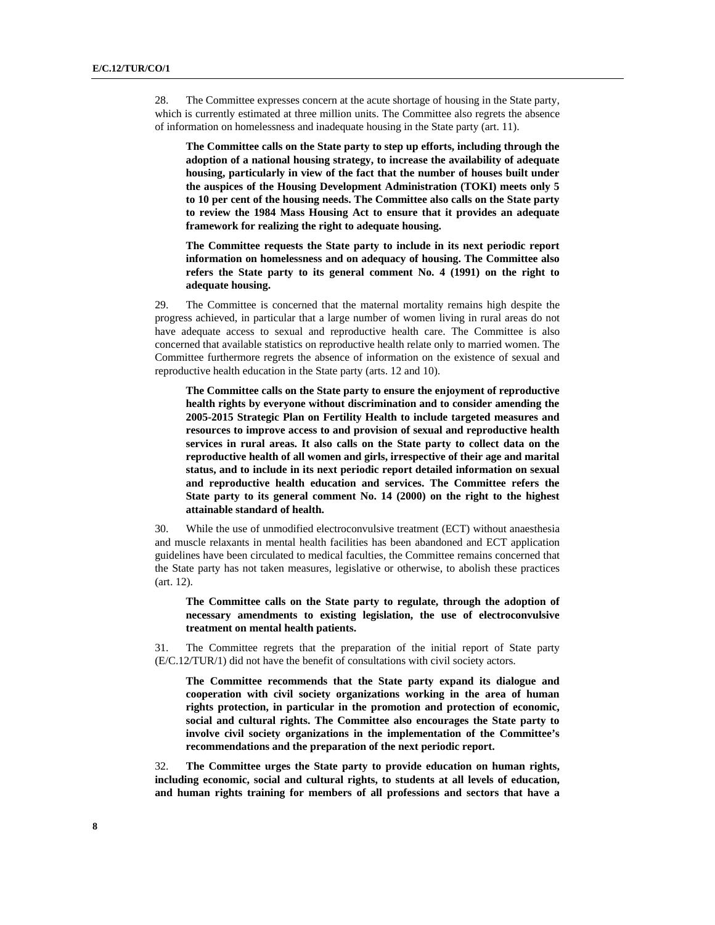28. The Committee expresses concern at the acute shortage of housing in the State party, which is currently estimated at three million units. The Committee also regrets the absence of information on homelessness and inadequate housing in the State party (art. 11).

**The Committee calls on the State party to step up efforts, including through the adoption of a national housing strategy, to increase the availability of adequate housing, particularly in view of the fact that the number of houses built under the auspices of the Housing Development Administration (TOKI) meets only 5 to 10 per cent of the housing needs. The Committee also calls on the State party to review the 1984 Mass Housing Act to ensure that it provides an adequate framework for realizing the right to adequate housing.** 

**The Committee requests the State party to include in its next periodic report information on homelessness and on adequacy of housing. The Committee also refers the State party to its general comment No. 4 (1991) on the right to adequate housing.** 

29. The Committee is concerned that the maternal mortality remains high despite the progress achieved, in particular that a large number of women living in rural areas do not have adequate access to sexual and reproductive health care. The Committee is also concerned that available statistics on reproductive health relate only to married women. The Committee furthermore regrets the absence of information on the existence of sexual and reproductive health education in the State party (arts. 12 and 10).

**The Committee calls on the State party to ensure the enjoyment of reproductive health rights by everyone without discrimination and to consider amending the 2005-2015 Strategic Plan on Fertility Health to include targeted measures and resources to improve access to and provision of sexual and reproductive health services in rural areas. It also calls on the State party to collect data on the reproductive health of all women and girls, irrespective of their age and marital status, and to include in its next periodic report detailed information on sexual and reproductive health education and services. The Committee refers the State party to its general comment No. 14 (2000) on the right to the highest attainable standard of health.** 

30. While the use of unmodified electroconvulsive treatment (ECT) without anaesthesia and muscle relaxants in mental health facilities has been abandoned and ECT application guidelines have been circulated to medical faculties, the Committee remains concerned that the State party has not taken measures, legislative or otherwise, to abolish these practices (art. 12).

**The Committee calls on the State party to regulate, through the adoption of necessary amendments to existing legislation, the use of electroconvulsive treatment on mental health patients.** 

31. The Committee regrets that the preparation of the initial report of State party (E/C.12/TUR/1) did not have the benefit of consultations with civil society actors.

**The Committee recommends that the State party expand its dialogue and cooperation with civil society organizations working in the area of human rights protection, in particular in the promotion and protection of economic, social and cultural rights. The Committee also encourages the State party to involve civil society organizations in the implementation of the Committee's recommendations and the preparation of the next periodic report.** 

32. **The Committee urges the State party to provide education on human rights, including economic, social and cultural rights, to students at all levels of education, and human rights training for members of all professions and sectors that have a**